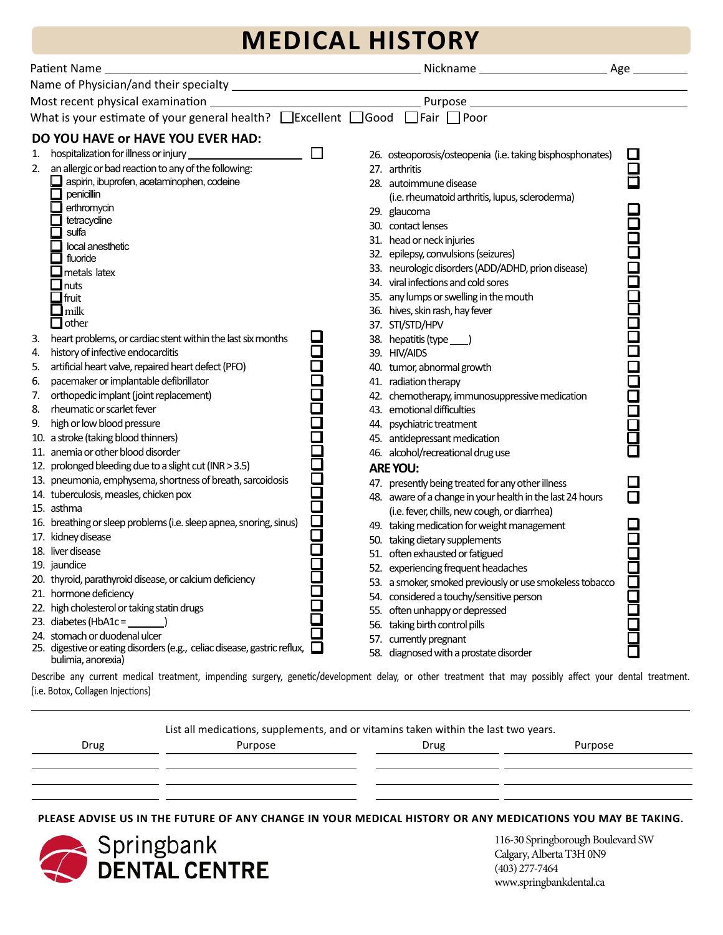## **MEDICAL HISTORY**

| Patient Name<br><u> 1980 - Johann Barn, mars ann an t-Amhain Aonaich an t-Aonaich an t-Aonaich ann an t-Aonaich ann an t-Aonaich</u>                                                                                                                                                                                                                                                                                                                                                                                                                                                                               |                                                                                                                                                                                                                                                                                                                                                                                                                                                                                                                                                                                                                |  |
|--------------------------------------------------------------------------------------------------------------------------------------------------------------------------------------------------------------------------------------------------------------------------------------------------------------------------------------------------------------------------------------------------------------------------------------------------------------------------------------------------------------------------------------------------------------------------------------------------------------------|----------------------------------------------------------------------------------------------------------------------------------------------------------------------------------------------------------------------------------------------------------------------------------------------------------------------------------------------------------------------------------------------------------------------------------------------------------------------------------------------------------------------------------------------------------------------------------------------------------------|--|
|                                                                                                                                                                                                                                                                                                                                                                                                                                                                                                                                                                                                                    |                                                                                                                                                                                                                                                                                                                                                                                                                                                                                                                                                                                                                |  |
| Most recent physical examination                                                                                                                                                                                                                                                                                                                                                                                                                                                                                                                                                                                   | <u> 1980 - Johann Barbara, martxa alemaniar a</u>                                                                                                                                                                                                                                                                                                                                                                                                                                                                                                                                                              |  |
| What is your estimate of your general health? □ Excellent □ Good □ Fair □ Poor                                                                                                                                                                                                                                                                                                                                                                                                                                                                                                                                     |                                                                                                                                                                                                                                                                                                                                                                                                                                                                                                                                                                                                                |  |
|                                                                                                                                                                                                                                                                                                                                                                                                                                                                                                                                                                                                                    |                                                                                                                                                                                                                                                                                                                                                                                                                                                                                                                                                                                                                |  |
| DO YOU HAVE OF HAVE YOU EVER HAD:<br>1.<br>2. an allergic or bad reaction to any of the following:<br>aspirin, ibuprofen, acetaminophen, codeine<br>penicillin<br>erthromycin<br>tetracycline<br>sulfa<br>local anesthetic<br>fluoride<br>metals latex<br>$\mathbf{\mathsf{\_}$ nuts<br>$\Box$ fruit                                                                                                                                                                                                                                                                                                               | $\Box$<br>26. osteoporosis/osteopenia (i.e. taking bisphosphonates)<br>27. arthritis<br>28. autoimmune disease<br>(i.e. rheumatoid arthritis, lupus, scleroderma)<br>29. glaucoma<br>30. contact lenses<br>31. head or neck injuries<br>32. epilepsy, convulsions (seizures)<br>33. neurologic disorders (ADD/ADHD, prion disease)<br>34. viral infections and cold sores<br>35. any lumps or swelling in the mouth                                                                                                                                                                                            |  |
| $\Box$ milk<br>$\Box$ other<br>heart problems, or cardiac stent within the last six months<br>3.<br>history of infective endocarditis<br>4.<br>artificial heart valve, repaired heart defect (PFO)<br>5.<br>pacemaker or implantable defibrillator<br>6.<br>orthopedic implant (joint replacement)<br>7.<br>8.<br>rheumatic or scarlet fever<br>high or low blood pressure<br>9.<br>10. a stroke (taking blood thinners)<br>11. anemia or other blood disorder                                                                                                                                                     | 36. hives, skin rash, hay fever<br>37. STI/STD/HPV<br>38. hepatitis (type ___)<br>39. HIV/AIDS<br>40. tumor, abnormal growth<br>41. radiation therapy<br>42. chemotherapy, immunosuppressive medication<br>43. emotional difficulties<br>44. psychiatric treatment<br>45. antidepressant medication<br>46. alcohol/recreational drug use                                                                                                                                                                                                                                                                       |  |
| 12. prolonged bleeding due to a slight cut (INR > 3.5)<br>13. pneumonia, emphysema, shortness of breath, sarcoidosis<br>14. tuberculosis, measles, chicken pox<br>15. asthma<br>16. breathing or sleep problems (i.e. sleep apnea, snoring, sinus)<br>17. kidney disease<br>18. liver disease<br>19. jaundice<br>20. thyroid, parathyroid disease, or calcium deficiency<br>21. hormone deficiency<br>22. high cholesterol or taking statin drugs<br>23. diabetes (HbA1c = $\_$<br>24. stomach or duodenal ulcer<br>25. digestive or eating disorders (e.g., celiac disease, gastric reflux,<br>bulimia, anorexia) | 8888<br><b>ARE YOU:</b><br>47. presently being treated for any other illness<br>48. aware of a change in your health in the last 24 hours<br>(i.e. fever, chills, new cough, or diarrhea)<br>2<br>2<br>49. taking medication for weight management<br>50. taking dietary supplements<br>51. often exhausted or fatigued<br>52. experiencing frequent headaches<br>53. a smoker, smoked previously or use smokeless tobacco<br>54. considered a touchy/sensitive person<br>55. often unhappy or depressed<br>56. taking birth control pills<br>57. currently pregnant<br>58. diagnosed with a prostate disorder |  |

(i.e. Botox, Collagen Injections)

List all medications, supplements, and or vitamins taken within the last two years.

| Drug | Purpose | Drug | Purpose |
|------|---------|------|---------|
|      |         |      |         |
|      |         |      |         |
|      |         |      |         |

**PLEASE ADVISE US IN THE FUTURE OF ANY CHANGE IN YOUR MEDICAL HISTORY OR ANY MEDICATIONS YOU MAY BE TAKING.**



116-30 Springborough Boulevard SW Calgary, Alberta T3H 0N9 (403) 277-7464 www.springbankdental.ca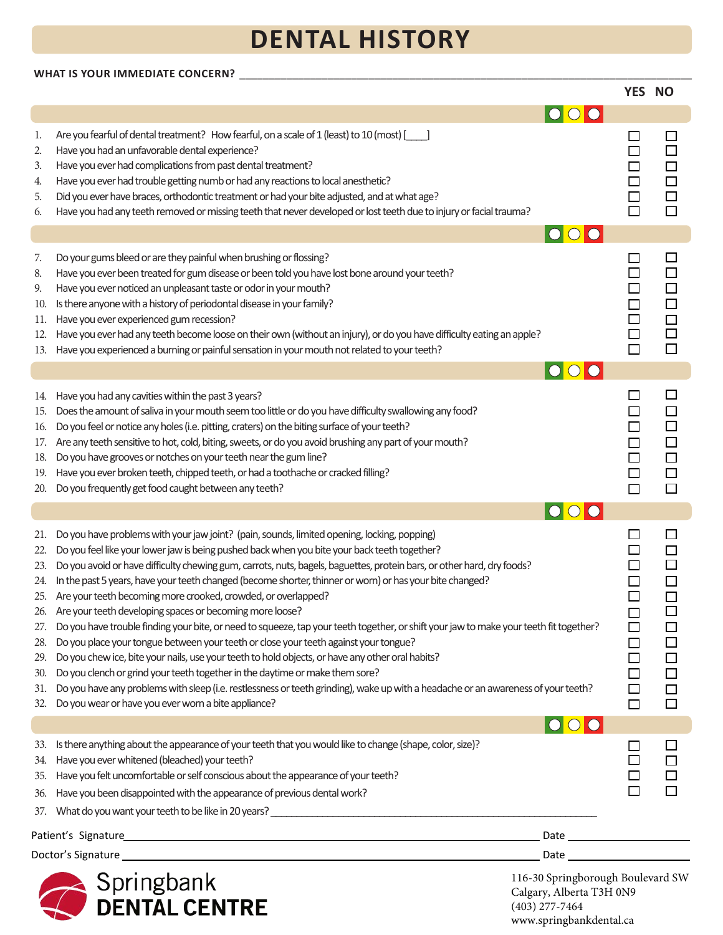# **DENTAL HISTORY**

### **WHAT IS YOUR IMMEDIATE CONCERN?** \_\_\_\_\_\_\_\_\_\_\_\_\_\_\_\_\_\_\_\_\_\_\_\_\_\_\_\_\_\_\_\_\_\_\_\_\_\_\_\_\_\_\_\_\_\_\_\_\_\_\_\_\_\_\_\_\_\_\_\_\_\_\_\_\_\_\_\_\_\_\_\_\_\_\_\_\_

|                                                                           |                                                                                                                                                                                                                                                                                                                                                                                                                                                                                                                                                                                                                                                                                                                                                                                                                                                                                                                                                                                                                                                                                                                                                                                      |                                                                                                               | YES NO                                         |                                                                         |
|---------------------------------------------------------------------------|--------------------------------------------------------------------------------------------------------------------------------------------------------------------------------------------------------------------------------------------------------------------------------------------------------------------------------------------------------------------------------------------------------------------------------------------------------------------------------------------------------------------------------------------------------------------------------------------------------------------------------------------------------------------------------------------------------------------------------------------------------------------------------------------------------------------------------------------------------------------------------------------------------------------------------------------------------------------------------------------------------------------------------------------------------------------------------------------------------------------------------------------------------------------------------------|---------------------------------------------------------------------------------------------------------------|------------------------------------------------|-------------------------------------------------------------------------|
|                                                                           |                                                                                                                                                                                                                                                                                                                                                                                                                                                                                                                                                                                                                                                                                                                                                                                                                                                                                                                                                                                                                                                                                                                                                                                      | $\bigcap$                                                                                                     |                                                |                                                                         |
| 1.<br>2.<br>3.<br>4.<br>5.<br>6.                                          | Are you fearful of dental treatment? How fearful, on a scale of 1 (least) to 10 (most) [166]<br>Have you had an unfavorable dental experience?<br>Have you ever had complications from past dental treatment?<br>Have you ever had trouble getting numb or had any reactions to local anesthetic?<br>Did you ever have braces, orthodontic treatment or had your bite adjusted, and at what age?<br>Have you had any teeth removed or missing teeth that never developed or lost teeth due to injury or facial trauma?                                                                                                                                                                                                                                                                                                                                                                                                                                                                                                                                                                                                                                                               |                                                                                                               | $\Box$<br>$\Box$<br>$\Box$                     | $\Box$<br>$\Box$<br>$\Box$                                              |
|                                                                           |                                                                                                                                                                                                                                                                                                                                                                                                                                                                                                                                                                                                                                                                                                                                                                                                                                                                                                                                                                                                                                                                                                                                                                                      | $\overline{O}$                                                                                                |                                                |                                                                         |
| 7.<br>8.<br>9.<br>10.<br>11.<br>12.<br>13.                                | Do your gums bleed or are they painful when brushing or flossing?<br>Have you ever been treated for gum disease or been told you have lost bone around your teeth?<br>Have you ever noticed an unpleasant taste or odor in your mouth?<br>Is there anyone with a history of periodontal disease in your family?<br>Have you ever experienced gum recession?<br>Have you ever had any teeth become loose on their own (without an injury), or do you have difficulty eating an apple?<br>Have you experienced a burning or painful sensation in your mouth not related to your teeth?                                                                                                                                                                                                                                                                                                                                                                                                                                                                                                                                                                                                 |                                                                                                               | $\Box$                                         | $\Box$<br>$\Box$<br>$\Box$<br>$\Box$<br>$\Box$<br>$\Box$                |
|                                                                           |                                                                                                                                                                                                                                                                                                                                                                                                                                                                                                                                                                                                                                                                                                                                                                                                                                                                                                                                                                                                                                                                                                                                                                                      |                                                                                                               |                                                |                                                                         |
| 14.<br>15.<br>16.<br>17.<br>18.<br>19.<br>20.                             | Have you had any cavities within the past 3 years?<br>Does the amount of saliva in your mouth seem too little or do you have difficulty swallowing any food?<br>Do you feel or notice any holes (i.e. pitting, craters) on the biting surface of your teeth?<br>Are any teeth sensitive to hot, cold, biting, sweets, or do you avoid brushing any part of your mouth?<br>Do you have grooves or notches on your teeth near the gum line?<br>Have you ever broken teeth, chipped teeth, or had a toothache or cracked filling?<br>Do you frequently get food caught between any teeth?                                                                                                                                                                                                                                                                                                                                                                                                                                                                                                                                                                                               |                                                                                                               | $\Box$<br>$\Box$<br>$\Box$                     | $\Box$<br>$\Box$<br>$\Box$<br>$\Box$<br>$\Box$<br>$\Box$<br>$\Box$      |
|                                                                           |                                                                                                                                                                                                                                                                                                                                                                                                                                                                                                                                                                                                                                                                                                                                                                                                                                                                                                                                                                                                                                                                                                                                                                                      |                                                                                                               |                                                |                                                                         |
| 21.<br>22.<br>23.<br>24.<br>25.<br>27.<br>28.<br>29.<br>30.<br>31.<br>32. | Do you have problems with your jaw joint? (pain, sounds, limited opening, locking, popping)<br>Do you feel like your lower jaw is being pushed back when you bite your back teeth together?<br>Do you avoid or have difficulty chewing gum, carrots, nuts, bagels, baguettes, protein bars, or other hard, dry foods?<br>In the past 5 years, have your teeth changed (become shorter, thinner or worn) or has your bite changed?<br>Are your teeth becoming more crooked, crowded, or overlapped?<br>26. Are your teeth developing spaces or becoming more loose?<br>Do you have trouble finding your bite, or need to squeeze, tap your teeth together, or shift your jaw to make your teeth fit together?<br>Do you place your tongue between your teeth or close your teeth against your tongue?<br>Do you chew ice, bite your nails, use your teeth to hold objects, or have any other oral habits?<br>Do you clench or grind your teeth together in the daytime or make them sore?<br>Do you have any problems with sleep (i.e. restlessness or teeth grinding), wake up with a headache or an awareness of your teeth?<br>Do you wear or have you ever worn a bite appliance? |                                                                                                               | $\Box$<br>$\Box$<br>$\Box$<br>$\Box$<br>$\Box$ | □<br>$\Box$<br>$\Box$<br>$\Box$<br>$\Box$<br>$\Box$<br>$\Box$<br>$\Box$ |
|                                                                           |                                                                                                                                                                                                                                                                                                                                                                                                                                                                                                                                                                                                                                                                                                                                                                                                                                                                                                                                                                                                                                                                                                                                                                                      | $ {\color{blue} \bullet} {\color{blue} \bullet} {\color{blue} \bullet}$                                       |                                                |                                                                         |
| 33.<br>34.<br>35.<br>36.<br>37.                                           | Is there anything about the appearance of your teeth that you would like to change (shape, color, size)?<br>Have you ever whitened (bleached) your teeth?<br>Have you felt uncomfortable or self conscious about the appearance of your teeth?<br>Have you been disappointed with the appearance of previous dental work?<br>What do you want your teeth to be like in 20 years? Notice that the control of the control of the control of the control of the control of the control of the control of the control of the control of the control of the cont                                                                                                                                                                                                                                                                                                                                                                                                                                                                                                                                                                                                                          |                                                                                                               |                                                | $\Box$                                                                  |
|                                                                           |                                                                                                                                                                                                                                                                                                                                                                                                                                                                                                                                                                                                                                                                                                                                                                                                                                                                                                                                                                                                                                                                                                                                                                                      |                                                                                                               |                                                |                                                                         |
|                                                                           |                                                                                                                                                                                                                                                                                                                                                                                                                                                                                                                                                                                                                                                                                                                                                                                                                                                                                                                                                                                                                                                                                                                                                                                      | Date and the state of the state of the state of the state of the state of the state of the state of the state |                                                |                                                                         |
|                                                                           | Springbank<br>DENTAL CENTRE                                                                                                                                                                                                                                                                                                                                                                                                                                                                                                                                                                                                                                                                                                                                                                                                                                                                                                                                                                                                                                                                                                                                                          | 116-30 Springborough Boulevard SW<br>Calgary, Alberta T3H 0N9<br>$(403)$ 277-7464                             |                                                |                                                                         |

www.springbankdental.ca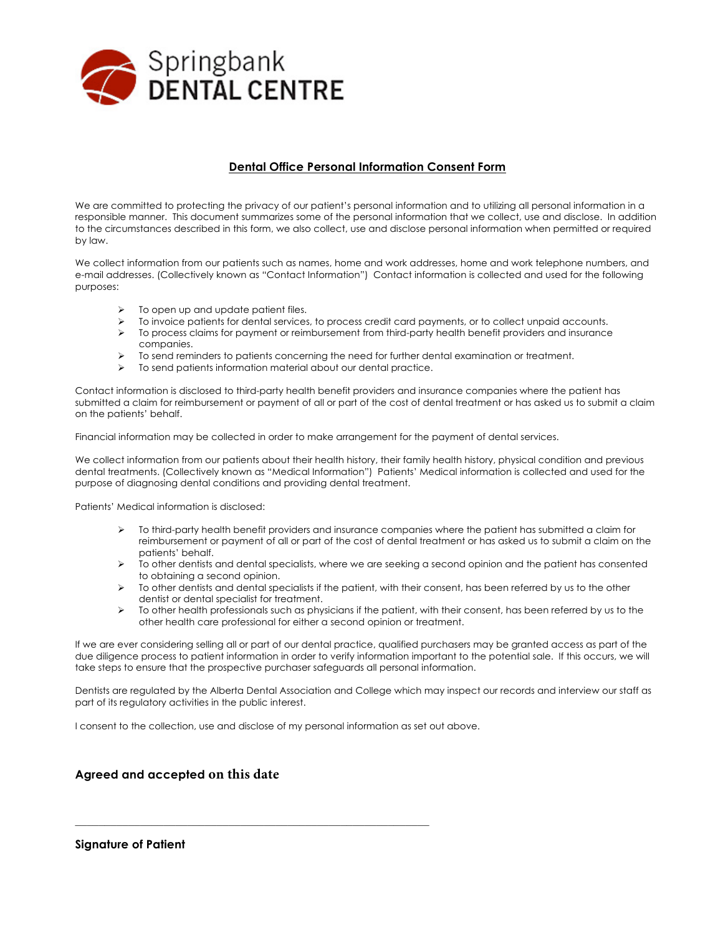

#### **Dental Office Personal Information Consent Form**

We are committed to protecting the privacy of our patient's personal information and to utilizing all personal information in a responsible manner. This document summarizes some of the personal information that we collect, use and disclose. In addition to the circumstances described in this form, we also collect, use and disclose personal information when permitted or required by law.

We collect information from our patients such as names, home and work addresses, home and work telephone numbers, and e-mail addresses. (Collectively known as "Contact Information") Contact information is collected and used for the following purposes:

- $\triangleright$  To open up and update patient files.
- $\triangleright$  To invoice patients for dental services, to process credit card payments, or to collect unpaid accounts.
- $\triangleright$  To process claims for payment or reimbursement from third-party health benefit providers and insurance companies.
- Ø To send reminders to patients concerning the need for further dental examination or treatment.
- $\triangleright$  To send patients information material about our dental practice.

Contact information is disclosed to third-party health benefit providers and insurance companies where the patient has submitted a claim for reimbursement or payment of all or part of the cost of dental treatment or has asked us to submit a claim on the patients' behalf.

Financial information may be collected in order to make arrangement for the payment of dental services.

We collect information from our patients about their health history, their family health history, physical condition and previous dental treatments. (Collectively known as "Medical Information") Patients' Medical information is collected and used for the purpose of diagnosing dental conditions and providing dental treatment.

Patients' Medical information is disclosed:

- $\triangleright$  To third-party health benefit providers and insurance companies where the patient has submitted a claim for reimbursement or payment of all or part of the cost of dental treatment or has asked us to submit a claim on the patients' behalf.
- Ø To other dentists and dental specialists, where we are seeking a second opinion and the patient has consented to obtaining a second opinion.
- $\triangleright$  To other dentists and dental specialists if the patient, with their consent, has been referred by us to the other dentist or dental specialist for treatment.
- $\triangleright$  To other health professionals such as physicians if the patient, with their consent, has been referred by us to the other health care professional for either a second opinion or treatment.

If we are ever considering selling all or part of our dental practice, qualified purchasers may be granted access as part of the due diligence process to patient information in order to verify information important to the potential sale. If this occurs, we will take steps to ensure that the prospective purchaser safeguards all personal information.

Dentists are regulated by the Alberta Dental Association and College which may inspect our records and interview our staff as part of its regulatory activities in the public interest.

I consent to the collection, use and disclose of my personal information as set out above.

\_\_\_\_\_\_\_\_\_\_\_\_\_\_\_\_\_\_\_\_\_\_\_\_\_\_\_\_\_\_\_\_\_\_\_\_\_\_\_\_\_\_\_\_\_\_\_\_\_\_\_\_\_\_\_\_\_\_\_\_

#### **Agreed and accepted on this date**